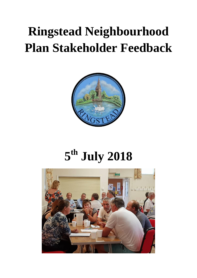## **Ringstead Neighbourhood Plan Stakeholder Feedback**



# **5 th July 2018**

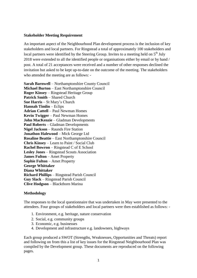## **Stakeholder Meeting Requirement**

An important aspect of the Neighbourhood Plan development process is the inclusion of key stakeholders and local partners. For Ringstead a total of approximately 100 stakeholders and local partners were identified by the Steering Group. Invites to a meeting held on  $5<sup>th</sup>$  July 2018 were extended to all the identified people or organisations either by email or by hand / post. A total of 21 acceptances were received and a number of other responses declined the invitation but asked to be kept up-to-date on the outcome of the meeting. The stakeholders who attended the meeting are as follows: -

**Sarah Barnwell** – Northamptonshire County Council **Michael Burton** – East Northamptonshire Council **Roger Kinsey** – Ringstead Heritage Group **Patrick Smith** – Shared Church **Sue Harris** – St Mary's Church **Hannah Timlin** – Eclips **Adrian Cattell** – Paul Newman Homes **Kevin Twigger** – Paul Newman Homes **John MacKenzie** – Gladman Developments **Paul Roberts** – Gladman Developments **Nigel Jackson** – Raunds Fire Station **Jonathon Halewood** – Mick George Ltd **Rosaline Beattie** – East Northamptonshire Council **Chris Kinsey** – Learn to Paint / Social Club **Rachel Bowron** – Ringstead C of E School **Lesley Jones** – Ringstead Scouts Association **James Fulton** – Amet Property **Sophie Fulton** – Amet Property **George Whittaker Diana Whittaker Richard Phillips** – Ringstead Parish Council **Guy Slack** – Ringstead Parish Council **Clive Hodgson** – Blackthorn Marina

## **Methodology**

The responses to the local questionnaire that was undertaken in May were presented to the attendees. Four groups of stakeholders and local partners were then established as follows: -

- 1. Environment, e.g. heritage, nature conservation
- 2. Social, e.g. community groups
- 3. Economic, e.g. businesses
- 4. Development and infrastructure e.g. landowners, highways

Each group produced a SWOT (Strengths, Weaknesses, Opportunities and Threats) report and following on from this a list of key issues for the Ringstead Neighbourhood Plan was compiled by the Development group. These documents are reproduced on the following pages.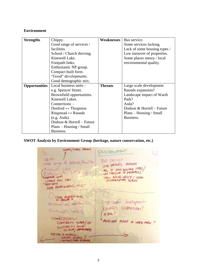## **Environment**

| <b>Strengths</b>     | Chippy.                             | Weaknesses     | Bus service.                 |
|----------------------|-------------------------------------|----------------|------------------------------|
|                      | Good range of services /            |                | Some services lacking.       |
|                      | facilities.                         |                | Lack of some housing types / |
|                      | School / Church thriving.           |                | Low turnover of properties.  |
|                      | Kinewell Lake.                      |                | Some places messy / local    |
|                      | Footpath links.                     |                | environmental quality.       |
|                      | Enthusiastic NP group.              |                |                              |
|                      | Compact built form.                 |                |                              |
|                      | "Good" developments.                |                |                              |
|                      | Good demographic mix.               |                |                              |
| <b>Opportunities</b> | Local business units -              | <b>Threats</b> | Large scale development      |
|                      | e.g. Spencer Street.                |                | Raunds expansion?            |
|                      | Brownfield opportunities.           |                | Landscape impact of Warth    |
|                      | Kinewell Lakes.                     |                | Park?                        |
|                      | $Connections -$                     |                | Asda?                        |
|                      | Denford $\leftrightarrow$ Thrapston |                | Dodson & Horrell – Future    |
|                      | Ringstead $\leftrightarrow$ Raunds  |                | $Plans - Housing / Small$    |
|                      | (e.g. Asda).                        |                | Business.                    |
|                      | Dodson & Horrell - Future           |                |                              |
|                      | $Plans - Housing / Small$           |                |                              |
|                      | Business.                           |                |                              |

**SWOT Analysis by Environment Group (heritage, nature conservation, etc.)**

SCHOOL/CHURCH THRIVING ENVRONTIENT  $h$ CALPRY RUS SERVICE conge de SOME SERVICES LACIUNS  $$60000$  $6000$ LACK OF SOME MOUSING TYPES, Kinewall Lake Enthusiantic **SPOOTPATH LINKS** SON & PLASOSS MESSY / LOCAL COMPACT BUNI FORM " SOOD" DEVIS GOOD DEVIS<br>GOOD DEMOGRAPHIC MIX. LOCAL RUGNESS-UNITS, Larg-sode darligement  $521$ Branfield offering RAUNOS EXPANSION? Kinewell Lake ASDA? LONNECTIONS-LANDS CAPE IMPACT OF WARTH PARK ? DENFORDED YEVRAPSION RINGSTEPO ES RAUNDS OODSON & HORRELL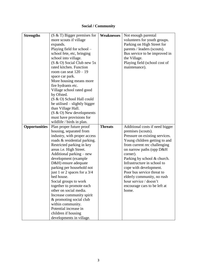## **Social / Community**

| <b>Strengths</b>     | $(S & T)$ Bigger premises for              | <b>Weaknesses</b> | Not enough parental             |
|----------------------|--------------------------------------------|-------------------|---------------------------------|
|                      | more scouts if village                     |                   | volunteers for youth groups.    |
|                      | expands.                                   |                   | Parking on High Street for      |
|                      | Playing field for school -                 |                   | parents / leaders (scouts).     |
|                      | school fete, etc, bringing                 |                   | Bus service to be improved in   |
|                      | school into village.                       |                   | the Village.                    |
|                      | (S & O) Social Club new 5x                 |                   | Playing field (school cost of   |
|                      | rated kitchen. Function                    |                   | maintenance).                   |
|                      | room can seat $120 - 19$                   |                   |                                 |
|                      | space car park.                            |                   |                                 |
|                      | More housing means more                    |                   |                                 |
|                      | fire hydrants etc.                         |                   |                                 |
|                      | Village school rated good                  |                   |                                 |
|                      | by Ofsted.                                 |                   |                                 |
|                      | (S & O) School Hall could                  |                   |                                 |
|                      | be utilised – slightly bigger              |                   |                                 |
|                      | than Village Hall.                         |                   |                                 |
|                      | (S & O) New developments                   |                   |                                 |
|                      | must have provisions for                   |                   |                                 |
|                      | wildlife / birds in plan.                  |                   |                                 |
| <b>Opportunities</b> | Plan proper future proof                   | <b>Threats</b>    | Additional costs if need bigger |
|                      | housing, separated from                    |                   | premises (scouts).              |
|                      | industry, with proper access               |                   | Pressure on existing services.  |
|                      | roads & residential parking.               |                   | Young children getting to and   |
|                      | Restricted parking in key                  |                   | from current rec challenging    |
|                      | areas i.e. High Street.                    |                   | on narrow paths (opp D&H)       |
|                      | Additional parking – new                   |                   | corner).                        |
|                      | development (example                       |                   | Parking by school & church.     |
|                      | D&H) ensure adequate                       |                   | Infrastructure in school to     |
|                      | parking per household not                  |                   | cope with development.          |
|                      | just 1 or 2 spaces for a $3/4$             |                   | Poor bus service threat to      |
|                      | bed house.                                 |                   | elderly community, no rush      |
|                      | Social groups to work                      |                   | hour service / doesn't          |
|                      | together to promote each                   |                   | encourage cars to be left at    |
|                      | other on social media.                     |                   | home.                           |
|                      | Increase community spirit                  |                   |                                 |
|                      | & promoting social club                    |                   |                                 |
|                      | within community.<br>Potential increase in |                   |                                 |
|                      |                                            |                   |                                 |
|                      | children if housing                        |                   |                                 |
|                      | developments in village.                   |                   |                                 |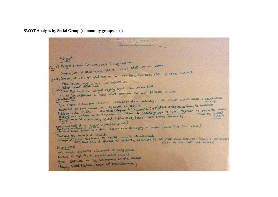**SWOT Analysis by Social Group (community groups, etc.)**

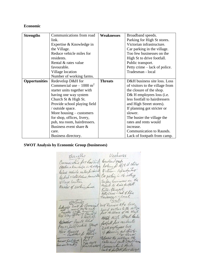## **Economic**

| <b>Strengths</b>     | Communications from road           | <b>Weaknesses</b> | Broadband speeds.                 |
|----------------------|------------------------------------|-------------------|-----------------------------------|
|                      | link.                              |                   | Parking for High St stores.       |
|                      | Expertise & Knowledge in           |                   | Victorian infrastructure.         |
|                      | the Village.                       |                   | Car parking in the village.       |
|                      | Reduce vehicle miles for           |                   | Too few businesses on the         |
|                      | residents.                         |                   | High St to drive footfall.        |
|                      | Rental & rates value               |                   | Public transport.                 |
|                      | favourable.                        |                   | Petty crime – lack of police.     |
|                      | Village location                   |                   | Tradesman - local                 |
|                      | Number of working farms.           |                   |                                   |
| <b>Opportunities</b> | Redevelop D&H for                  | <b>Threats</b>    | D&H business site loss. Loss      |
|                      | Commercial use $-1000 \text{ m}^2$ |                   | of visitors to the village from   |
|                      | starter units together with        |                   | the closure of the shop.          |
|                      | having one way system              |                   | D& H employees loss ( <i>i.e.</i> |
|                      | Church St & High St.               |                   | less footfall to hairdressers     |
|                      | Provide school playing field       |                   | and High Street stores).          |
|                      | / outside space.                   |                   | If planning got stricter or       |
|                      | More housing $-$ customers         |                   | slower.                           |
|                      | for shop, offices, livery,         |                   | The busier the village the        |
|                      | pub, tea room, hairdressers.       |                   | rates and rents would             |
|                      | Business event share &             |                   | increase.                         |
|                      | care.                              |                   | Communication to Raunds.          |
|                      | Business directory.                |                   | Lack of footpath from camp.       |

**SWOT Analysis by Economic Group (businesses)**

Heatnerses Strengths Communications for load like Broad Sand Speaks Réduce venuelle rails pour able Car parting in de sellage Toofer Gusinesses on the Village location Tooper survenies on Natiser of Waking fames. right. is aways! oportanto D+H Business Site Coss. STH Susiness of a the Villeyer<br>Lass of Visitors to the Villeyer<br>from the closure of the Shop. Street High street tredes  $64$ steet high or esidents.  $\tilde{\mathcal{C}}$ Spaces D+Heyphyees loss If planning got trito. No Busie the village the Business Evel-Shere Tea room Business Directory. Communicho to Hunds Lack of fort for larp.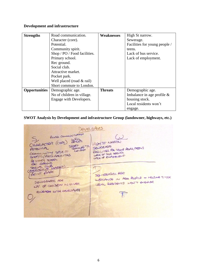## **Development and infrastructure**

| <b>Strengths</b>     | Road communication.          | <b>Weaknesses</b> | High St narrow.               |
|----------------------|------------------------------|-------------------|-------------------------------|
|                      | Character (core).            |                   | Sewerage.                     |
|                      | Potential.                   |                   | Facilities for young people / |
|                      | Community spirit.            |                   | teens.                        |
|                      | Shop / PO / Food facilities. |                   | Lack of bus service.          |
|                      | Primary school.              |                   | Lack of employment.           |
|                      | Rec ground.                  |                   |                               |
|                      | Social club.                 |                   |                               |
|                      | Attractive market.           |                   |                               |
|                      | Pocket park.                 |                   |                               |
|                      | Well placed (road & rail)    |                   |                               |
|                      | Short commute to London.     |                   |                               |
| <b>Opportunities</b> | Demographic age.             | <b>Threats</b>    | Demographic age.              |
|                      | No of children in village.   |                   | Imbalance in age profile $\&$ |
|                      | Engage with Developers.      |                   | housing stock.                |
|                      |                              |                   | Local residents won't         |
|                      |                              |                   | engage.                       |

## **SWOT Analysis by Development and infrastructure Group (landowner, highways, etc.)**

DEVELOPERS ROAD COMMUNICATION  $\omega$ HACH CHARACTER (CORE) HIGH ST NARROW SHOCT WE TO SEUGLAGE SEVELAGE YOUR ROAD / ROUS POTENTIA COMMUNITY SPIRIT FACILITIES NE YOUR SHOP/6/FOOD FACILITIES PRIMACY SCHOOL REC GROUND RE GROUND<br>SOCIAL CUS MARBET)  $\sqrt{1}$ TOORT AVARK DEN OBEABLE AGE INBALANCE IN AGE ROALE + HOUMESTOR DEVOGRAPHIC AGE LOCAL RESIDENTS WON'T ENGAGE Devoterant ACC IN VILLAGE ENGAGE WITH DEROPERS